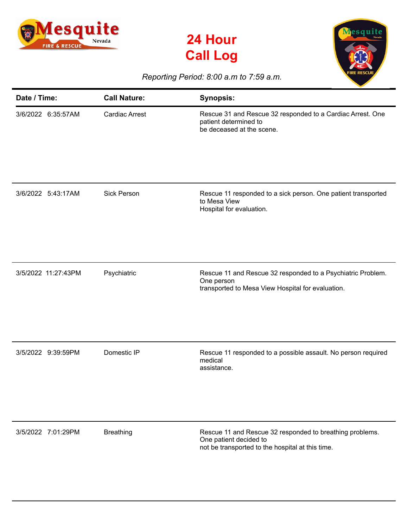





## *Reporting Period: 8:00 a.m to 7:59 a.m.*

| Date / Time:        | <b>Call Nature:</b>   | <b>Synopsis:</b>                                                                                                                       |
|---------------------|-----------------------|----------------------------------------------------------------------------------------------------------------------------------------|
| 3/6/2022 6:35:57AM  | <b>Cardiac Arrest</b> | Rescue 31 and Rescue 32 responded to a Cardiac Arrest. One<br>patient determined to<br>be deceased at the scene.                       |
| 3/6/2022 5:43:17AM  | <b>Sick Person</b>    | Rescue 11 responded to a sick person. One patient transported<br>to Mesa View<br>Hospital for evaluation.                              |
| 3/5/2022 11:27:43PM | Psychiatric           | Rescue 11 and Rescue 32 responded to a Psychiatric Problem.<br>One person<br>transported to Mesa View Hospital for evaluation.         |
| 3/5/2022 9:39:59PM  | Domestic IP           | Rescue 11 responded to a possible assault. No person required<br>medical<br>assistance.                                                |
| 3/5/2022 7:01:29PM  | <b>Breathing</b>      | Rescue 11 and Rescue 32 responded to breathing problems.<br>One patient decided to<br>not be transported to the hospital at this time. |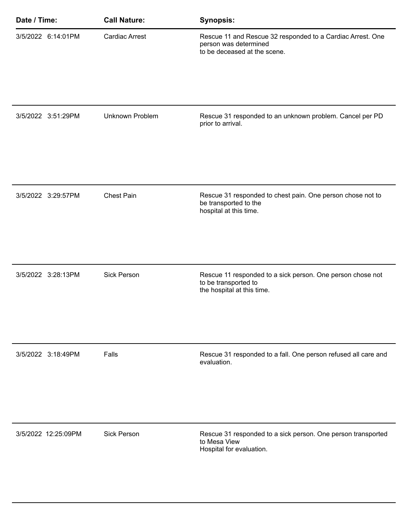| Date / Time:        | <b>Call Nature:</b>   | <b>Synopsis:</b>                                                                                                    |
|---------------------|-----------------------|---------------------------------------------------------------------------------------------------------------------|
| 3/5/2022 6:14:01PM  | <b>Cardiac Arrest</b> | Rescue 11 and Rescue 32 responded to a Cardiac Arrest. One<br>person was determined<br>to be deceased at the scene. |
|                     |                       |                                                                                                                     |
| 3/5/2022 3:51:29PM  | Unknown Problem       | Rescue 31 responded to an unknown problem. Cancel per PD<br>prior to arrival.                                       |
| 3/5/2022 3:29:57PM  | <b>Chest Pain</b>     | Rescue 31 responded to chest pain. One person chose not to<br>be transported to the<br>hospital at this time.       |
| 3/5/2022 3:28:13PM  | <b>Sick Person</b>    | Rescue 11 responded to a sick person. One person chose not<br>to be transported to<br>the hospital at this time.    |
| 3/5/2022 3:18:49PM  | Falls                 | Rescue 31 responded to a fall. One person refused all care and<br>evaluation.                                       |
| 3/5/2022 12:25:09PM | Sick Person           | Rescue 31 responded to a sick person. One person transported<br>to Mesa View<br>Hospital for evaluation.            |